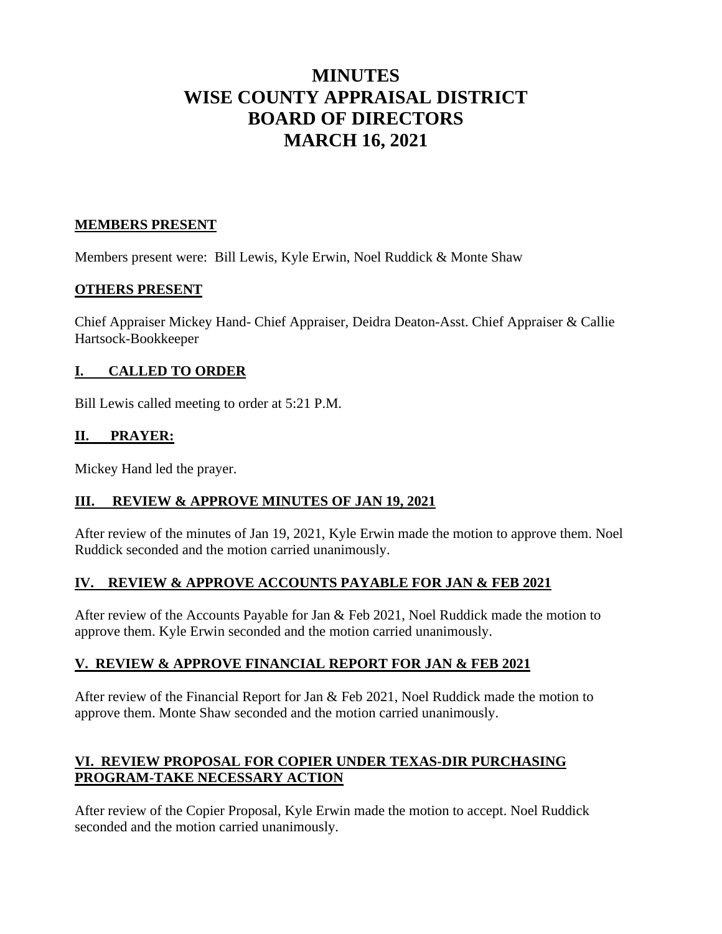# **MINUTES WISE COUNTY APPRAISAL DISTRICT BOARD OF DIRECTORS MARCH 16, 2021**

## **MEMBERS PRESENT**

Members present were: Bill Lewis, Kyle Erwin, Noel Ruddick & Monte Shaw

#### **OTHERS PRESENT**

Chief Appraiser Mickey Hand- Chief Appraiser, Deidra Deaton-Asst. Chief Appraiser & Callie Hartsock-Bookkeeper

#### **I. CALLED TO ORDER**

Bill Lewis called meeting to order at 5:21 P.M.

#### **II. PRAYER:**

Mickey Hand led the prayer.

#### **III. REVIEW & APPROVE MINUTES OF JAN 19, 2021**

After review of the minutes of Jan 19, 2021, Kyle Erwin made the motion to approve them. Noel Ruddick seconded and the motion carried unanimously.

# **IV. REVIEW & APPROVE ACCOUNTS PAYABLE FOR JAN & FEB 2021**

After review of the Accounts Payable for Jan & Feb 2021, Noel Ruddick made the motion to approve them. Kyle Erwin seconded and the motion carried unanimously.

# **V. REVIEW & APPROVE FINANCIAL REPORT FOR JAN & FEB 2021**

After review of the Financial Report for Jan & Feb 2021, Noel Ruddick made the motion to approve them. Monte Shaw seconded and the motion carried unanimously.

# **VI. REVIEW PROPOSAL FOR COPIER UNDER TEXAS-DIR PURCHASING PROGRAM-TAKE NECESSARY ACTION**

After review of the Copier Proposal, Kyle Erwin made the motion to accept. Noel Ruddick seconded and the motion carried unanimously.